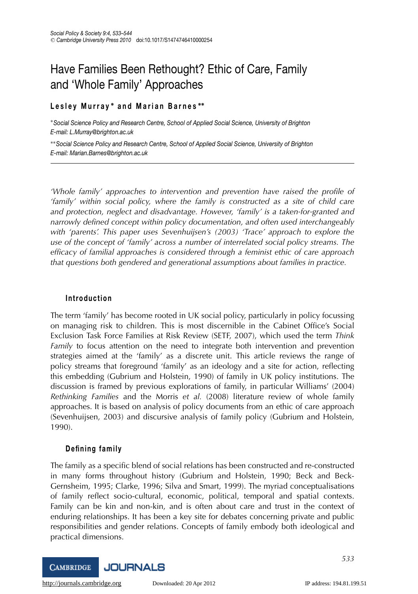# Have Families Been Rethought? Ethic of Care, Family and 'Whole Family' Approaches

# **Lesley Murray ∗ and Marian Barnes ∗∗**

∗*Social Science Policy and Research Centre, School of Applied Social Science, University of Brighton E-mail: L.Murray@brighton.ac.uk*

∗∗*Social Science Policy and Research Centre, School of Applied Social Science, University of Brighton E-mail: Marian.Barnes@brighton.ac.uk*

*'Whole family' approaches to intervention and prevention have raised the profile of 'family' within social policy, where the family is constructed as a site of child care and protection, neglect and disadvantage. However, 'family' is a taken-for-granted and narrowly defined concept within policy documentation, and often used interchangeably with 'parents'. This paper uses Sevenhuijsen's (2003) 'Trace' approach to explore the use of the concept of 'family' across a number of interrelated social policy streams. The efficacy of familial approaches is considered through a feminist ethic of care approach that questions both gendered and generational assumptions about families in practice.*

## **Introduction**

The term 'family' has become rooted in UK social policy, particularly in policy focussing on managing risk to children. This is most discernible in the Cabinet Office's Social Exclusion Task Force Families at Risk Review (SETF, 2007), which used the term *Think Family* to focus attention on the need to integrate both intervention and prevention strategies aimed at the 'family' as a discrete unit. This article reviews the range of policy streams that foreground 'family' as an ideology and a site for action, reflecting this embedding (Gubrium and Holstein, 1990) of family in UK policy institutions. The discussion is framed by previous explorations of family, in particular Williams' (2004) *Rethinking Families* and the Morris *et al.* (2008) literature review of whole family approaches. It is based on analysis of policy documents from an ethic of care approach (Sevenhuijsen, 2003) and discursive analysis of family policy (Gubrium and Holstein, 1990).

# **Defining family**

The family as a specific blend of social relations has been constructed and re-constructed in many forms throughout history (Gubrium and Holstein, 1990; Beck and Beck-Gernsheim, 1995; Clarke, 1996; Silva and Smart, 1999). The myriad conceptualisations of family reflect socio-cultural, economic, political, temporal and spatial contexts. Family can be kin and non-kin, and is often about care and trust in the context of enduring relationships. It has been a key site for debates concerning private and public responsibilities and gender relations. Concepts of family embody both ideological and practical dimensions.



<http://journals.cambridge.org> Downloaded: 20 Apr 2012 IP address: 194.81.199.51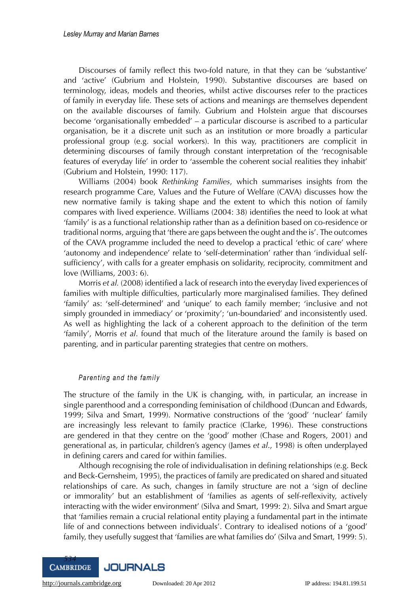Discourses of family reflect this two-fold nature, in that they can be 'substantive' and 'active' (Gubrium and Holstein, 1990). Substantive discourses are based on terminology, ideas, models and theories, whilst active discourses refer to the practices of family in everyday life. These sets of actions and meanings are themselves dependent on the available discourses of family. Gubrium and Holstein argue that discourses become 'organisationally embedded' – a particular discourse is ascribed to a particular organisation, be it a discrete unit such as an institution or more broadly a particular professional group (e.g. social workers). In this way, practitioners are complicit in determining discourses of family through constant interpretation of the 'recognisable features of everyday life' in order to 'assemble the coherent social realities they inhabit' (Gubrium and Holstein, 1990: 117).

Williams (2004) book *Rethinking Families*, which summarises insights from the research programme Care, Values and the Future of Welfare (CAVA) discusses how the new normative family is taking shape and the extent to which this notion of family compares with lived experience. Williams (2004: 38) identifies the need to look at what 'family' is as a functional relationship rather than as a definition based on co-residence or traditional norms, arguing that 'there are gaps between the ought and the is'. The outcomes of the CAVA programme included the need to develop a practical 'ethic of care' where 'autonomy and independence' relate to 'self-determination' rather than 'individual selfsufficiency', with calls for a greater emphasis on solidarity, reciprocity, commitment and love (Williams, 2003: 6).

Morris *et al.* (2008) identified a lack of research into the everyday lived experiences of families with multiple difficulties, particularly more marginalised families. They defined 'family' as: 'self-determined' and 'unique' to each family member; 'inclusive and not simply grounded in immediacy' or 'proximity'; 'un-boundaried' and inconsistently used. As well as highlighting the lack of a coherent approach to the definition of the term 'family', Morris *et al*. found that much of the literature around the family is based on parenting, and in particular parenting strategies that centre on mothers.

## *Parenting and the family*

The structure of the family in the UK is changing, with, in particular, an increase in single parenthood and a corresponding feminisation of childhood (Duncan and Edwards, 1999; Silva and Smart, 1999). Normative constructions of the 'good' 'nuclear' family are increasingly less relevant to family practice (Clarke, 1996). These constructions are gendered in that they centre on the 'good' mother (Chase and Rogers, 2001) and generational as, in particular, children's agency (James *et al*., 1998) is often underplayed in defining carers and cared for within families.

Although recognising the role of individualisation in defining relationships (e.g. Beck and Beck-Gernsheim, 1995), the practices of family are predicated on shared and situated relationships of care. As such, changes in family structure are not a 'sign of decline or immorality' but an establishment of 'families as agents of self-reflexivity, actively interacting with the wider environment' (Silva and Smart, 1999: 2). Silva and Smart argue that 'families remain a crucial relational entity playing a fundamental part in the intimate life of and connections between individuals'. Contrary to idealised notions of a 'good' family, they usefully suggest that 'families are what families do' (Silva and Smart, 1999: 5).

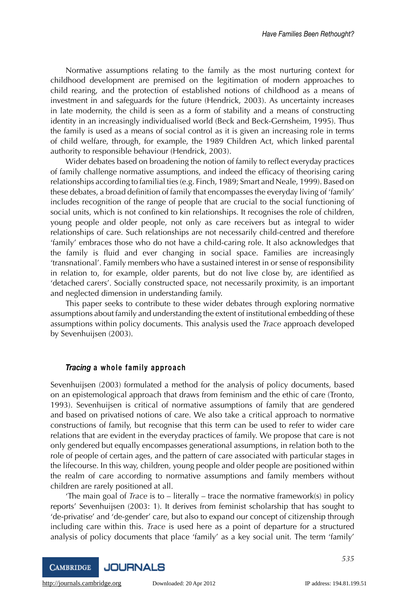Normative assumptions relating to the family as the most nurturing context for childhood development are premised on the legitimation of modern approaches to child rearing, and the protection of established notions of childhood as a means of investment in and safeguards for the future (Hendrick, 2003). As uncertainty increases in late modernity, the child is seen as a form of stability and a means of constructing identity in an increasingly individualised world (Beck and Beck-Gernsheim, 1995). Thus the family is used as a means of social control as it is given an increasing role in terms of child welfare, through, for example, the 1989 Children Act, which linked parental authority to responsible behaviour (Hendrick, 2003).

Wider debates based on broadening the notion of family to reflect everyday practices of family challenge normative assumptions, and indeed the efficacy of theorising caring relationships according to familial ties (e.g. Finch, 1989; Smart and Neale, 1999). Based on these debates, a broad definition of family that encompasses the everyday living of 'family' includes recognition of the range of people that are crucial to the social functioning of social units, which is not confined to kin relationships. It recognises the role of children, young people and older people, not only as care receivers but as integral to wider relationships of care. Such relationships are not necessarily child-centred and therefore 'family' embraces those who do not have a child-caring role. It also acknowledges that the family is fluid and ever changing in social space. Families are increasingly 'transnational'. Family members who have a sustained interest in or sense of responsibility in relation to, for example, older parents, but do not live close by, are identified as 'detached carers'. Socially constructed space, not necessarily proximity, is an important and neglected dimension in understanding family.

This paper seeks to contribute to these wider debates through exploring normative assumptions about family and understanding the extent of institutional embedding of these assumptions within policy documents. This analysis used the *Trace* approach developed by Sevenhuijsen (2003).

## *Tracing* **a whole family approach**

Sevenhuijsen (2003) formulated a method for the analysis of policy documents, based on an epistemological approach that draws from feminism and the ethic of care (Tronto, 1993). Sevenhuijsen is critical of normative assumptions of family that are gendered and based on privatised notions of care. We also take a critical approach to normative constructions of family, but recognise that this term can be used to refer to wider care relations that are evident in the everyday practices of family. We propose that care is not only gendered but equally encompasses generational assumptions, in relation both to the role of people of certain ages, and the pattern of care associated with particular stages in the lifecourse. In this way, children, young people and older people are positioned within the realm of care according to normative assumptions and family members without children are rarely positioned at all.

'The main goal of *Trace* is to – literally – trace the normative framework(s) in policy reports' Sevenhuijsen (2003: 1). It derives from feminist scholarship that has sought to 'de-privatise' and 'de-gender' care, but also to expand our concept of citizenship through including care within this. *Trace* is used here as a point of departure for a structured analysis of policy documents that place 'family' as a key social unit. The term 'family'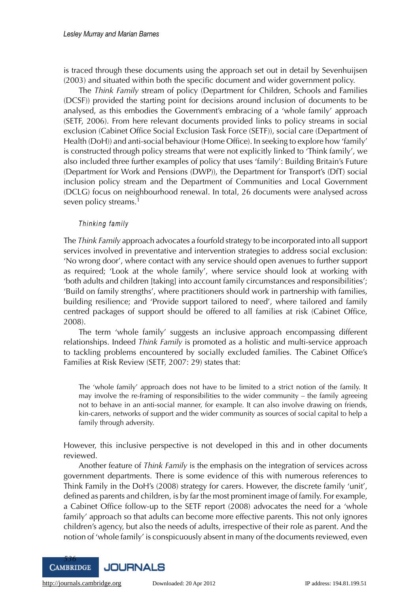is traced through these documents using the approach set out in detail by Sevenhuijsen (2003) and situated within both the specific document and wider government policy.

The *Think Family* stream of policy (Department for Children, Schools and Families (DCSF)) provided the starting point for decisions around inclusion of documents to be analysed, as this embodies the Government's embracing of a 'whole family' approach (SETF, 2006). From here relevant documents provided links to policy streams in social exclusion (Cabinet Office Social Exclusion Task Force (SETF)), social care (Department of Health (DoH)) and anti-social behaviour (Home Office). In seeking to explore how 'family' is constructed through policy streams that were not explicitly linked to 'Think family', we also included three further examples of policy that uses 'family': Building Britain's Future (Department for Work and Pensions (DWP)), the Department for Transport's (DfT) social inclusion policy stream and the Department of Communities and Local Government (DCLG) focus on neighbourhood renewal. In total, 26 documents were analysed across seven policy streams.<sup>1</sup>

#### *Thinking family*

The *Think Family* approach advocates a fourfold strategy to be incorporated into all support services involved in preventative and intervention strategies to address social exclusion: 'No wrong door', where contact with any service should open avenues to further support as required; 'Look at the whole family', where service should look at working with 'both adults and children [taking] into account family circumstances and responsibilities'; 'Build on family strengths', where practitioners should work in partnership with families, building resilience; and 'Provide support tailored to need', where tailored and family centred packages of support should be offered to all families at risk (Cabinet Office, 2008).

The term 'whole family' suggests an inclusive approach encompassing different relationships. Indeed *Think Family* is promoted as a holistic and multi-service approach to tackling problems encountered by socially excluded families. The Cabinet Office's Families at Risk Review (SETF, 2007: 29) states that:

The 'whole family' approach does not have to be limited to a strict notion of the family. It may involve the re-framing of responsibilities to the wider community – the family agreeing not to behave in an anti-social manner, for example. It can also involve drawing on friends, kin-carers, networks of support and the wider community as sources of social capital to help a family through adversity.

However, this inclusive perspective is not developed in this and in other documents reviewed.

Another feature of *Think Family* is the emphasis on the integration of services across government departments. There is some evidence of this with numerous references to Think Family in the DoH's (2008) strategy for carers. However, the discrete family 'unit', defined as parents and children, is by far the most prominent image of family. For example, a Cabinet Office follow-up to the SETF report (2008) advocates the need for a 'whole family' approach so that adults can become more effective parents. This not only ignores children's agency, but also the needs of adults, irrespective of their role as parent. And the notion of 'whole family' is conspicuously absent in many of the documents reviewed, even

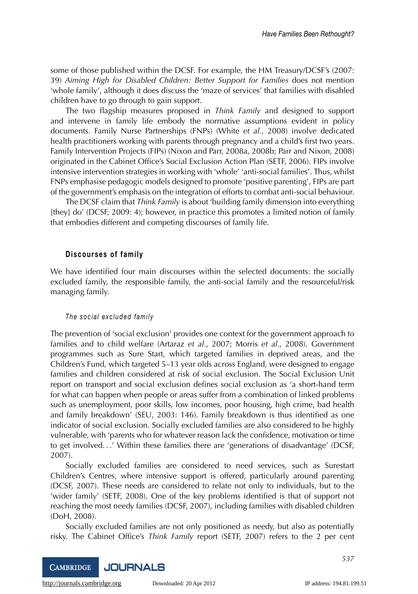some of those published within the DCSF. For example, the HM Treasury/DCSF's (2007: 39) *Aiming High for Disabled Children: Better Support for Families* does not mention 'whole family', although it does discuss the 'maze of services' that families with disabled children have to go through to gain support.

The two flagship measures proposed in *Think Family* and designed to support and intervene in family life embody the normative assumptions evident in policy documents. Family Nurse Partnerships (FNPs) (White *et al.*, 2008) involve dedicated health practitioners working with parents through pregnancy and a child's first two years. Family Intervention Projects (FIPs) (Nixon and Parr, 2008a, 2008b; Parr and Nixon, 2008) originated in the Cabinet Office's Social Exclusion Action Plan (SETF, 2006). FIPs involve intensive intervention strategies in working with 'whole' 'anti-social families'. Thus, whilst FNPs emphasise pedagogic models designed to promote 'positive parenting', FIPs are part of the government's emphasis on the integration of efforts to combat anti-social behaviour.

The DCSF claim that *Think Family* is about 'building family dimension into everything [they] do' (DCSF, 2009: 4); however, in practice this promotes a limited notion of family that embodies different and competing discourses of family life.

## **Discourses of family**

We have identified four main discourses within the selected documents: the socially excluded family, the responsible family, the anti-social family and the resourceful/risk managing family.

## *The social excluded family*

The prevention of 'social exclusion' provides one context for the government approach to families and to child welfare (Artaraz *et al*., 2007; Morris *et al*., 2008). Government programmes such as Sure Start, which targeted families in deprived areas, and the Children's Fund, which targeted 5–13 year olds across England, were designed to engage families and children considered at risk of social exclusion. The Social Exclusion Unit report on transport and social exclusion defines social exclusion as 'a short-hand term for what can happen when people or areas suffer from a combination of linked problems such as unemployment, poor skills, low incomes, poor housing, high crime, bad health and family breakdown' (SEU, 2003: 146). Family breakdown is thus identified as one indicator of social exclusion. Socially excluded families are also considered to be highly vulnerable, with 'parents who for whatever reason lack the confidence, motivation or time to get involved...' Within these families there are 'generations of disadvantage' (DCSF, 2007).

Socially excluded families are considered to need services, such as Surestart Children's Centres, where intensive support is offered, particularly around parenting (DCSF, 2007). These needs are considered to relate not only to individuals, but to the 'wider family' (SETF, 2008). One of the key problems identified is that of support not reaching the most needy families (DCSF, 2007), including families with disabled children (DoH, 2008).

Socially excluded families are not only positioned as needy, but also as potentially risky. The Cabinet Office's *Think Family* report (SETF, 2007) refers to the 2 per cent

**JOURNALS CAMBRIDGE** 

*537*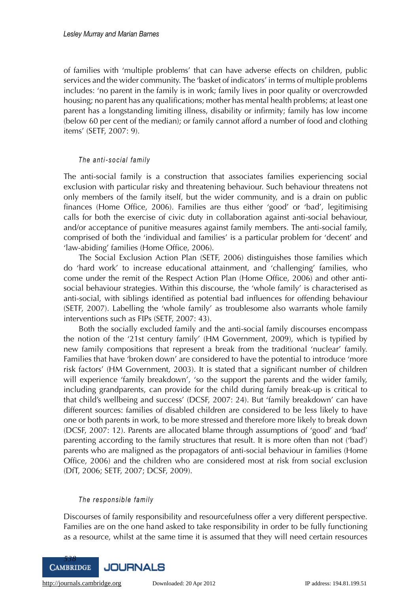of families with 'multiple problems' that can have adverse effects on children, public services and the wider community. The 'basket of indicators' in terms of multiple problems includes: 'no parent in the family is in work; family lives in poor quality or overcrowded housing; no parent has any qualifications; mother has mental health problems; at least one parent has a longstanding limiting illness, disability or infirmity; family has low income (below 60 per cent of the median); or family cannot afford a number of food and clothing items' (SETF, 2007: 9).

## *The anti-social family*

The anti-social family is a construction that associates families experiencing social exclusion with particular risky and threatening behaviour. Such behaviour threatens not only members of the family itself, but the wider community, and is a drain on public finances (Home Office, 2006). Families are thus either 'good' or 'bad', legitimising calls for both the exercise of civic duty in collaboration against anti-social behaviour, and/or acceptance of punitive measures against family members. The anti-social family, comprised of both the 'individual and families' is a particular problem for 'decent' and 'law-abiding' families (Home Office, 2006).

The Social Exclusion Action Plan (SETF, 2006) distinguishes those families which do 'hard work' to increase educational attainment, and 'challenging' families, who come under the remit of the Respect Action Plan (Home Office, 2006) and other antisocial behaviour strategies. Within this discourse, the 'whole family' is characterised as anti-social, with siblings identified as potential bad influences for offending behaviour (SETF, 2007). Labelling the 'whole family' as troublesome also warrants whole family interventions such as FIPs (SETF, 2007: 43).

Both the socially excluded family and the anti-social family discourses encompass the notion of the '21st century family' (HM Government, 2009), which is typified by new family compositions that represent a break from the traditional 'nuclear' family. Families that have 'broken down' are considered to have the potential to introduce 'more risk factors' (HM Government, 2003). It is stated that a significant number of children will experience 'family breakdown', 'so the support the parents and the wider family, including grandparents, can provide for the child during family break-up is critical to that child's wellbeing and success' (DCSF, 2007: 24). But 'family breakdown' can have different sources: families of disabled children are considered to be less likely to have one or both parents in work, to be more stressed and therefore more likely to break down (DCSF, 2007: 12). Parents are allocated blame through assumptions of 'good' and 'bad' parenting according to the family structures that result. It is more often than not ('bad') parents who are maligned as the propagators of anti-social behaviour in families (Home Office, 2006) and the children who are considered most at risk from social exclusion (DfT, 2006; SETF, 2007; DCSF, 2009).

## *The responsible family*

Discourses of family responsibility and resourcefulness offer a very different perspective. Families are on the one hand asked to take responsibility in order to be fully functioning as a resource, whilst at the same time it is assumed that they will need certain resources

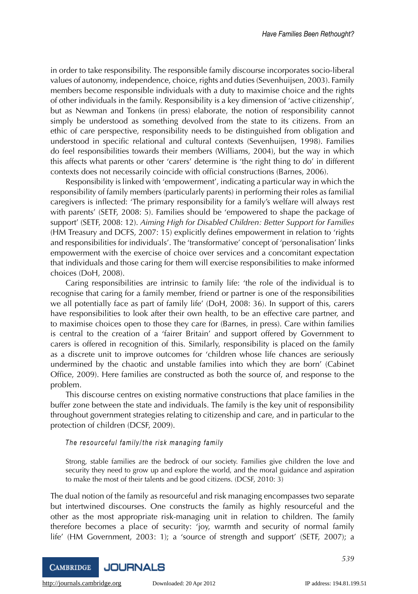in order to take responsibility. The responsible family discourse incorporates socio-liberal values of autonomy, independence, choice, rights and duties (Sevenhuijsen, 2003). Family members become responsible individuals with a duty to maximise choice and the rights of other individuals in the family. Responsibility is a key dimension of 'active citizenship', but as Newman and Tonkens (in press) elaborate, the notion of responsibility cannot simply be understood as something devolved from the state to its citizens. From an ethic of care perspective, responsibility needs to be distinguished from obligation and understood in specific relational and cultural contexts (Sevenhuijsen, 1998). Families do feel responsibilities towards their members (Williams, 2004), but the way in which this affects what parents or other 'carers' determine is 'the right thing to do' in different contexts does not necessarily coincide with official constructions (Barnes, 2006).

Responsibility is linked with 'empowerment', indicating a particular way in which the responsibility of family members (particularly parents) in performing their roles as familial caregivers is inflected: 'The primary responsibility for a family's welfare will always rest with parents' (SETF, 2008: 5). Families should be 'empowered to shape the package of support' (SETF, 2008: 12). *Aiming High for Disabled Children: Better Support for Families* (HM Treasury and DCFS, 2007: 15) explicitly defines empowerment in relation to 'rights and responsibilities for individuals'. The 'transformative' concept of 'personalisation' links empowerment with the exercise of choice over services and a concomitant expectation that individuals and those caring for them will exercise responsibilities to make informed choices (DoH, 2008).

Caring responsibilities are intrinsic to family life: 'the role of the individual is to recognise that caring for a family member, friend or partner is one of the responsibilities we all potentially face as part of family life' (DoH, 2008: 36). In support of this, carers have responsibilities to look after their own health, to be an effective care partner, and to maximise choices open to those they care for (Barnes, in press). Care within families is central to the creation of a 'fairer Britain' and support offered by Government to carers is offered in recognition of this. Similarly, responsibility is placed on the family as a discrete unit to improve outcomes for 'children whose life chances are seriously undermined by the chaotic and unstable families into which they are born' (Cabinet Office, 2009). Here families are constructed as both the source of, and response to the problem.

This discourse centres on existing normative constructions that place families in the buffer zone between the state and individuals. The family is the key unit of responsibility throughout government strategies relating to citizenship and care, and in particular to the protection of children (DCSF, 2009).

#### *The resourceful family/the risk managing family*

Strong, stable families are the bedrock of our society. Families give children the love and security they need to grow up and explore the world, and the moral guidance and aspiration to make the most of their talents and be good citizens. (DCSF, 2010: 3)

The dual notion of the family as resourceful and risk managing encompasses two separate but intertwined discourses. One constructs the family as highly resourceful and the other as the most appropriate risk-managing unit in relation to children. The family therefore becomes a place of security: 'joy, warmth and security of normal family life' (HM Government, 2003: 1); a 'source of strength and support' (SETF, 2007); a



*539*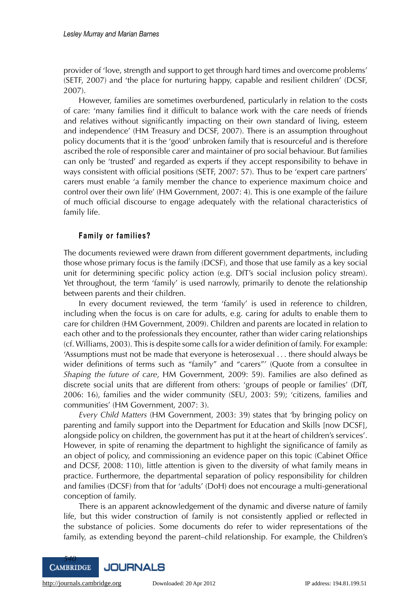provider of 'love, strength and support to get through hard times and overcome problems' (SETF, 2007) and 'the place for nurturing happy, capable and resilient children' (DCSF, 2007).

However, families are sometimes overburdened, particularly in relation to the costs of care: 'many families find it difficult to balance work with the care needs of friends and relatives without significantly impacting on their own standard of living, esteem and independence' (HM Treasury and DCSF, 2007). There is an assumption throughout policy documents that it is the 'good' unbroken family that is resourceful and is therefore ascribed the role of responsible carer and maintainer of pro social behaviour. But families can only be 'trusted' and regarded as experts if they accept responsibility to behave in ways consistent with official positions (SETF, 2007: 57). Thus to be 'expert care partners' carers must enable 'a family member the chance to experience maximum choice and control over their own life' (HM Government, 2007: 4). This is one example of the failure of much official discourse to engage adequately with the relational characteristics of family life.

# **Family or families?**

The documents reviewed were drawn from different government departments, including those whose primary focus is the family (DCSF), and those that use family as a key social unit for determining specific policy action (e.g. DfT's social inclusion policy stream). Yet throughout, the term 'family' is used narrowly, primarily to denote the relationship between parents and their children.

In every document reviewed, the term 'family' is used in reference to children, including when the focus is on care for adults, e.g. caring for adults to enable them to care for children (HM Government, 2009). Children and parents are located in relation to each other and to the professionals they encounter, rather than wider caring relationships (cf. Williams, 2003). This is despite some calls for a wider definition of family. For example: 'Assumptions must not be made that everyone is heterosexual ... there should always be wider definitions of terms such as "family" and "carers"' (Quote from a consultee in *Shaping the future of care*, HM Government, 2009: 59). Families are also defined as discrete social units that are different from others: 'groups of people or families' (DfT, 2006: 16), families and the wider community (SEU, 2003: 59); 'citizens, families and communities' (HM Government, 2007: 3).

*Every Child Matters* (HM Government, 2003: 39) states that 'by bringing policy on parenting and family support into the Department for Education and Skills [now DCSF], alongside policy on children, the government has put it at the heart of children's services'. However, in spite of renaming the department to highlight the significance of family as an object of policy, and commissioning an evidence paper on this topic (Cabinet Office and DCSF, 2008: 110), little attention is given to the diversity of what family means in practice. Furthermore, the departmental separation of policy responsibility for children and families (DCSF) from that for 'adults' (DoH) does not encourage a multi-generational conception of family.

There is an apparent acknowledgement of the dynamic and diverse nature of family life, but this wider construction of family is not consistently applied or reflected in the substance of policies. Some documents do refer to wider representations of the family, as extending beyond the parent–child relationship. For example, the Children's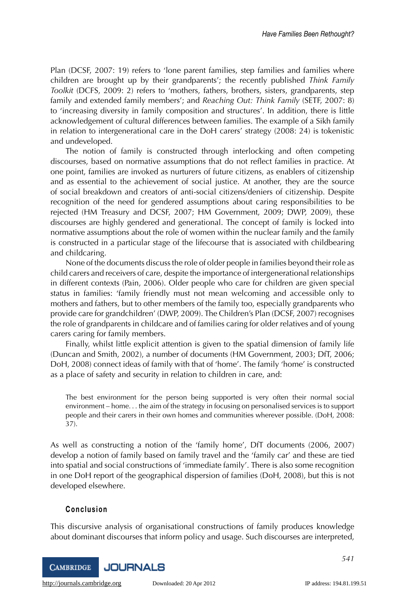Plan (DCSF, 2007: 19) refers to 'lone parent families, step families and families where children are brought up by their grandparents'; the recently published *Think Family Toolkit* (DCFS, 2009: 2) refers to 'mothers, fathers, brothers, sisters, grandparents, step family and extended family members'; and *Reaching Out: Think Family* (SETF, 2007: 8) to 'increasing diversity in family composition and structures'. In addition, there is little acknowledgement of cultural differences between families. The example of a Sikh family in relation to intergenerational care in the DoH carers' strategy (2008: 24) is tokenistic and undeveloped.

The notion of family is constructed through interlocking and often competing discourses, based on normative assumptions that do not reflect families in practice. At one point, families are invoked as nurturers of future citizens, as enablers of citizenship and as essential to the achievement of social justice. At another, they are the source of social breakdown and creators of anti-social citizens/deniers of citizenship. Despite recognition of the need for gendered assumptions about caring responsibilities to be rejected (HM Treasury and DCSF, 2007; HM Government, 2009; DWP, 2009), these discourses are highly gendered and generational. The concept of family is locked into normative assumptions about the role of women within the nuclear family and the family is constructed in a particular stage of the lifecourse that is associated with childbearing and childcaring.

None of the documents discuss the role of older people in families beyond their role as child carers and receivers of care, despite the importance of intergenerational relationships in different contexts (Pain, 2006). Older people who care for children are given special status in families: 'family friendly must not mean welcoming and accessible only to mothers and fathers, but to other members of the family too, especially grandparents who provide care for grandchildren' (DWP, 2009). The Children's Plan (DCSF, 2007) recognises the role of grandparents in childcare and of families caring for older relatives and of young carers caring for family members.

Finally, whilst little explicit attention is given to the spatial dimension of family life (Duncan and Smith, 2002), a number of documents (HM Government, 2003; DfT, 2006; DoH, 2008) connect ideas of family with that of 'home'. The family 'home' is constructed as a place of safety and security in relation to children in care, and:

The best environment for the person being supported is very often their normal social environment – home... the aim of the strategy in focusing on personalised services is to support people and their carers in their own homes and communities wherever possible. (DoH, 2008: 37).

As well as constructing a notion of the 'family home', DfT documents (2006, 2007) develop a notion of family based on family travel and the 'family car' and these are tied into spatial and social constructions of 'immediate family'. There is also some recognition in one DoH report of the geographical dispersion of families (DoH, 2008), but this is not developed elsewhere.

## **Conclusion**

This discursive analysis of organisational constructions of family produces knowledge about dominant discourses that inform policy and usage. Such discourses are interpreted,



*541*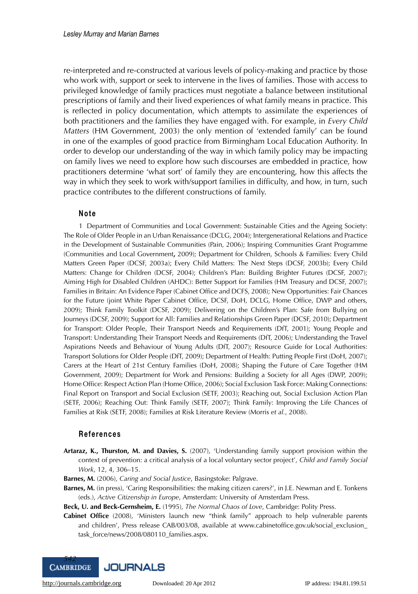re-interpreted and re-constructed at various levels of policy-making and practice by those who work with, support or seek to intervene in the lives of families. Those with access to privileged knowledge of family practices must negotiate a balance between institutional prescriptions of family and their lived experiences of what family means in practice. This is reflected in policy documentation, which attempts to assimilate the experiences of both practitioners and the families they have engaged with. For example, in *Every Child Matters* (HM Government, 2003) the only mention of 'extended family' can be found in one of the examples of good practice from Birmingham Local Education Authority. In order to develop our understanding of the way in which family policy may be impacting on family lives we need to explore how such discourses are embedded in practice, how practitioners determine 'what sort' of family they are encountering, how this affects the way in which they seek to work with/support families in difficulty, and how, in turn, such practice contributes to the different constructions of family.

#### **Note**

1 Department of Communities and Local Government: Sustainable Cities and the Ageing Society: The Role of Older People in an Urban Renaissance (DCLG, 2004); Intergenerational Relations and Practice in the Development of Sustainable Communities (Pain, 2006); Inspiring Communities Grant Programme (Communities and Local Government**,** 2009); Department for Children, Schools & Families: Every Child Matters Green Paper (DCSF, 2003a); Every Child Matters: The Next Steps (DCSF, 2003b); Every Child Matters: Change for Children (DCSF, 2004); Children's Plan: Building Brighter Futures (DCSF, 2007); Aiming High for Disabled Children (AHDC): Better Support for Families (HM Treasury and DCSF, 2007); Families in Britain: An Evidence Paper (Cabinet Office and DCFS, 2008); New Opportunities: Fair Chances for the Future (joint White Paper Cabinet Office, DCSF, DoH, DCLG, Home Office, DWP and others, 2009); Think Family Toolkit (DCSF, 2009); Delivering on the Children's Plan: Safe from Bullying on Journeys (DCSF, 2009); Support for All: Families and Relationships Green Paper (DCSF, 2010); Department for Transport: Older People, Their Transport Needs and Requirements (DfT, 2001); Young People and Transport: Understanding Their Transport Needs and Requirements (DfT, 2006); Understanding the Travel Aspirations Needs and Behaviour of Young Adults (DfT, 2007); Resource Guide for Local Authorities: Transport Solutions for Older People (DfT, 2009); Department of Health: Putting People First (DoH, 2007); Carers at the Heart of 21st Century Families (DoH, 2008); Shaping the Future of Care Together (HM Government, 2009); Department for Work and Pensions: Building a Society for all Ages (DWP, 2009); Home Office: Respect Action Plan (Home Office, 2006); Social Exclusion Task Force: Making Connections: Final Report on Transport and Social Exclusion (SETF, 2003); Reaching out, Social Exclusion Action Plan (SETF, 2006); Reaching Out: Think Family (SETF, 2007); Think Family: Improving the Life Chances of Families at Risk (SETF, 2008); Families at Risk Literature Review (Morris *et al.*, 2008).

#### **References**

- **Artaraz, K., Thurston, M. and Davies, S.** (2007), 'Understanding family support provision within the context of prevention: a critical analysis of a local voluntary sector project', *Child and Family Social Work*, 12, 4, 306–15.
- **Barnes, M.** (2006), *Caring and Social Justice*, Basingstoke: Palgrave.
- **Barnes, M.** (in press), 'Caring Responsibilities: the making citizen carers?', in J.E. Newman and E. Tonkens (eds.), *Active Citizenship in Europe*, Amsterdam: University of Amsterdam Press.

**Beck, U. and Beck-Gernsheim, E.** (1995), *The Normal Chaos of Love*, Cambridge: Polity Press.

**Cabinet Office** (2008), 'Ministers launch new "think family" approach to help vulnerable parents and children', Press release CAB/003/08, available at www.cabinetoffice.gov.uk/social\_exclusion\_ task\_force/news/2008/080110\_families.aspx.

*542***JOURNALS CAMBRIDGE**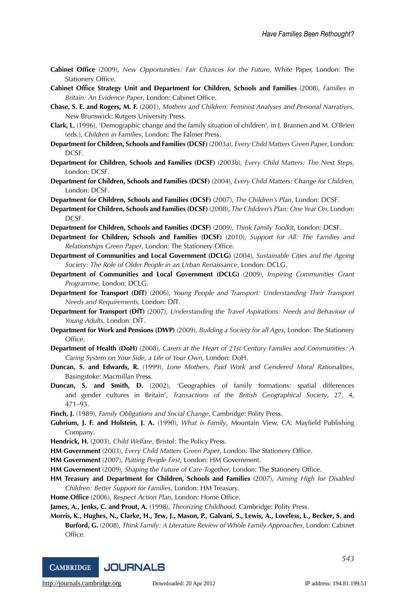- **Cabinet Office** (2009), *New Opportunities: Fair Chances for the Future*, White Paper, London: The Stationery Office.
- **Cabinet Office Strategy Unit and Department for Children, Schools and Families** (2008), *Families in Britain: An Evidence Paper*, London: Cabinet Office.
- **Chase, S. E. and Rogers, M. F.** (2001), *Mothers and Children: Feminist Analyses and Personal Narratives*, New Brunswick: Rutgers University Press.
- **Clark, L.** (1996), 'Demographic change and the family situation of children', in J. Brannen and M. O'Brien (eds.), *Children in Families*, London: The Falmer Press.
- **Department for Children, Schools and Families (DCSF)** (2003a), *Every Child Matters Green Paper*, London: DCSF.
- **Department for Children, Schools and Families (DCSF)** (2003b), *Every Child Matters: The Next Steps*, London: DCSF.
- **Department for Children, Schools and Families (DCSF)** (2004), *Every Child Matters: Change for Children*, London: DCSF.
- **Department for Children, Schools and Families (DCSF)** (2007), *The Children's Plan*, London: DCSF.
- **Department for Children, Schools and Families (DCSF)** (2008), *The Children's Plan: One Year On*, London: DCSF.
- **Department for Children, Schools and Families (DCSF)** (2009), *Think Family Toolkit*, London: DCSF.
- **Department for Children, Schools and Families (DCSF)** (2010), *Support for All: The Families and Relationships Green Paper*, London: The Stationery Office.
- **Department of Communities and Local Government (DCLG)** (2004), *Sustainable Cities and the Ageing Society: The Role of Older People in an Urban Renaissance*, London: DCLG.
- **Department of Communities and Local Government (DCLG)** (2009), *Inspiring Communities Grant Programme*, London: DCLG.
- **Department for Transport (DfT)** (2006), *Young People and Transport: Understanding Their Transport Needs and Requirements*, London: DfT.
- **Department for Transport (DfT)** (2007), *Understanding the Travel Aspirations: Needs and Behaviour of Young Adults*, London: DfT.
- **Department for Work and Pensions (DWP)** (2009), *Building a Society for all Ages*, London: The Stationery Office.
- **Department of Health (DoH)** (2008), *Carers at the Heart of 21st Century Families and Communities: A Caring System on Your Side, a Life of Your Own*, London: DoH.
- **Duncan, S. and Edwards, R.** (1999), *Lone Mothers, Paid Work and Gendered Moral Rationalities*, Basingstoke: Macmillan Press.
- **Duncan, S. and Smith, D.** (2002), 'Geographies of family formations: spatial differences and gender cultures in Britain', *Transactions of the British Geographical Society*, 27, 4, 471–93.
- **Finch, J.** (1989), *Family Obligations and Social Change*, Cambridge: Polity Press.
- **Gubrium, J. F. and Holstein, J. A.** (1990), *What is Family*, Mountain View, CA: Mayfield Publishing Company.
- **Hendrick, H.** (2003), *Child Welfare*, Bristol: The Policy Press.
- **HM Government** (2003), *Every Child Matters Green Paper*, London: The Stationery Office.
- **HM Government** (2007), *Putting People First*, London: HM Government.
- **HM Government** (2009), *Shaping the Future of Care Together*, London: The Stationery Office.
- **HM Treasury and Department for Children, Schools and Families** (2007), *Aiming High for Disabled Children: Better Support for Families*, London: HM Treasury.
- **Home Office** (2006), *Respect Action Plan*, London: Home Office.

**James, A., Jenks, C. and Prout, A.** (1998), *Theorizing Childhood*, Cambridge: Polity Press.

**Morris, K., Hughes, N., Clarke, H., Tew, J., Mason, P., Galvani, S., Lewis, A., Loveless, L., Becker, S. and Burford, G.** (2008), *Think Family: A Literature Review of Whole Family Approaches*, London: Cabinet Office.

**JOURNALS CAMBRIDGE**